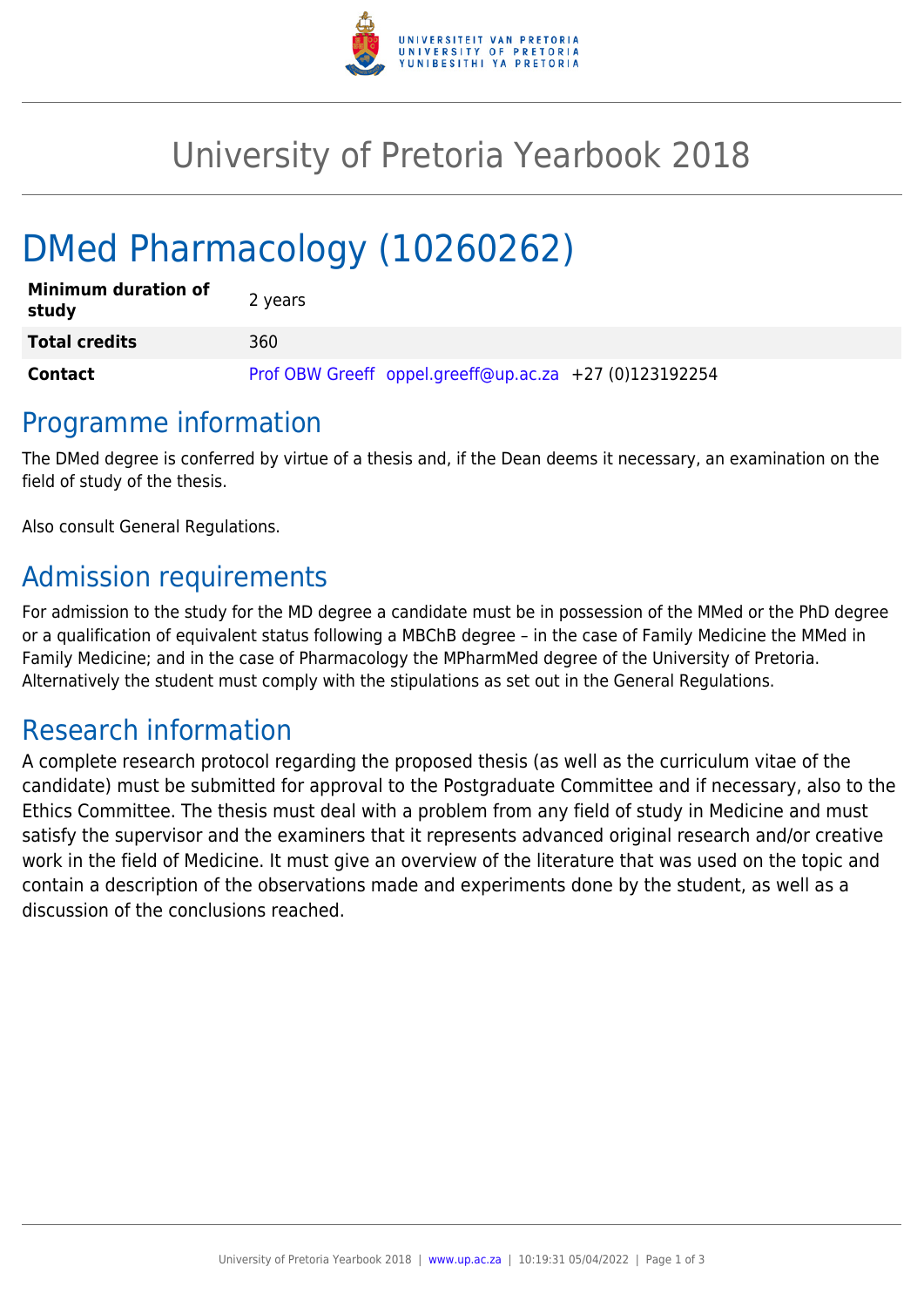

## University of Pretoria Yearbook 2018

# DMed Pharmacology (10260262)

| <b>Minimum duration of</b><br>study | 2 years                                                |
|-------------------------------------|--------------------------------------------------------|
| <b>Total credits</b>                | 360                                                    |
| Contact                             | Prof OBW Greeff oppel.greeff@up.ac.za +27 (0)123192254 |

#### Programme information

The DMed degree is conferred by virtue of a thesis and, if the Dean deems it necessary, an examination on the field of study of the thesis.

Also consult General Regulations.

## Admission requirements

For admission to the study for the MD degree a candidate must be in possession of the MMed or the PhD degree or a qualification of equivalent status following a MBChB degree – in the case of Family Medicine the MMed in Family Medicine; and in the case of Pharmacology the MPharmMed degree of the University of Pretoria. Alternatively the student must comply with the stipulations as set out in the General Regulations.

#### Research information

A complete research protocol regarding the proposed thesis (as well as the curriculum vitae of the candidate) must be submitted for approval to the Postgraduate Committee and if necessary, also to the Ethics Committee. The thesis must deal with a problem from any field of study in Medicine and must satisfy the supervisor and the examiners that it represents advanced original research and/or creative work in the field of Medicine. It must give an overview of the literature that was used on the topic and contain a description of the observations made and experiments done by the student, as well as a discussion of the conclusions reached.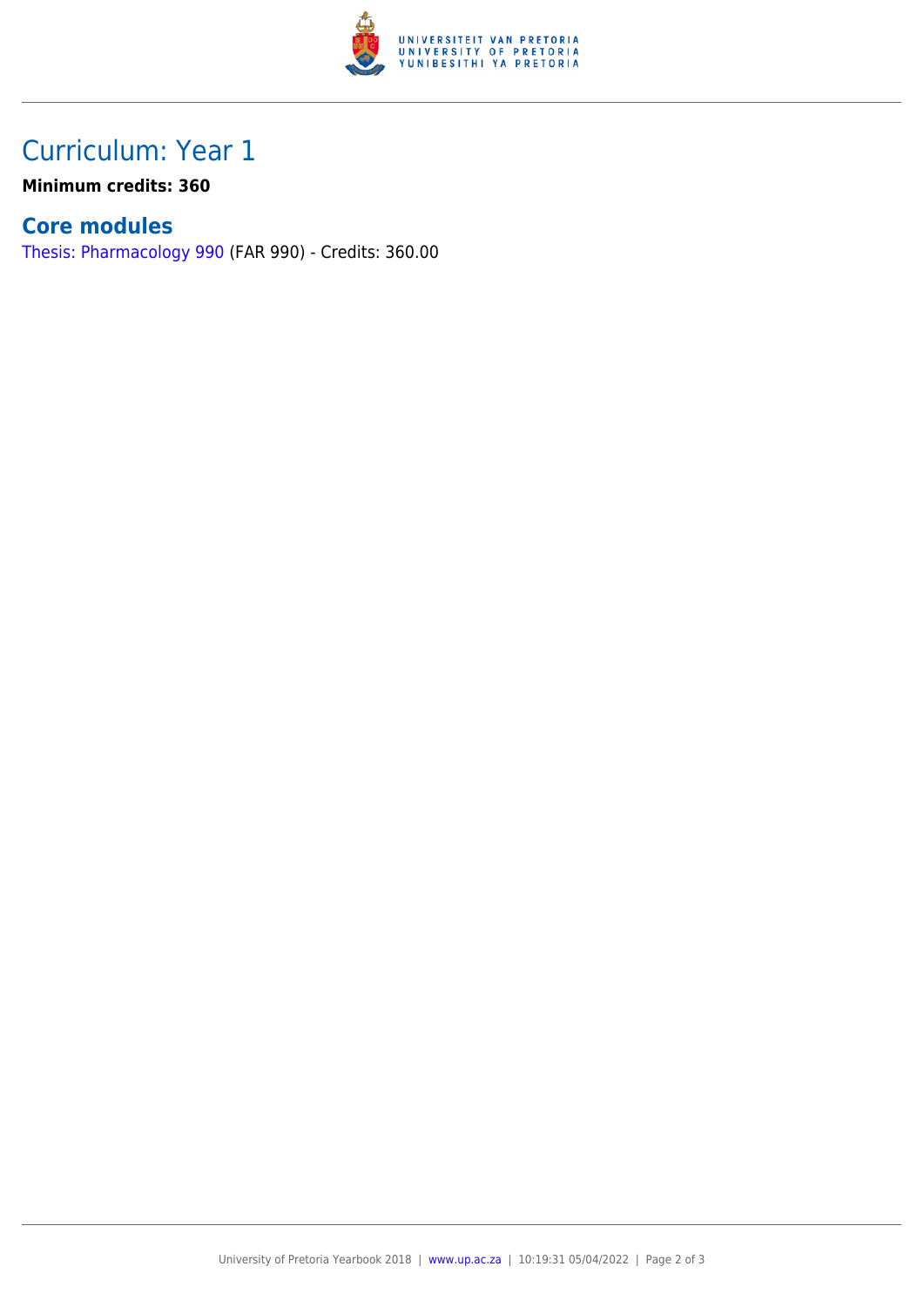

## Curriculum: Year 1

**Minimum credits: 360**

#### **Core modules**

[Thesis: Pharmacology 990](https://www.up.ac.za/yearbooks/2018/modules/view/FAR 990) (FAR 990) - Credits: 360.00